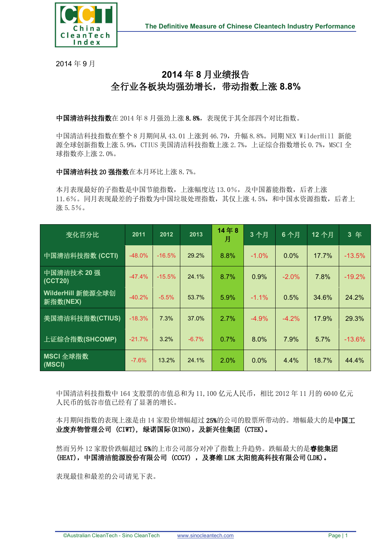

2014 年 9 月

## **2014** 年 **8** 月业绩报告 全行业各板块均强劲增长,带动指数上涨 **8.8%**

中国清洁科技指数在 2014 年 8 月强劲上涨 8.8%,表现优于其全部四个对比指数。

中国清洁科技指数在整个 8 月期间从 43.01 上涨到 46.79,升幅 8.8%。同期 NEX WilderHill 新能 源全球创新指数上涨 5.9%, CTIUS 美国清洁科技指数上涨 2.7%, 上证综合指数增长 0.7%, MSCI 全 球指数亦上涨 2.0%。

中国清洁科技 20 强指数在本月环比上涨 8.7%。

本月表现最好的子指数是中国节能指数,上涨幅度达 13.0%,及中国蓄能指数,后者上涨 11.6%。同月表现最差的子指数为中国垃圾处理指数,其仅上涨 4.5%,和中国水资源指数,后者上 涨 5.5%。

| 变化百分比                         | 2011     | 2012     | 2013    | 14年8<br>月 | 3个月      | 6个月      | 12个月  | 3 年      |
|-------------------------------|----------|----------|---------|-----------|----------|----------|-------|----------|
| 中国清洁科技指数 (CCTI)               | $-48.0%$ | $-16.5%$ | 29.2%   | 8.8%      | $-1.0\%$ | $0.0\%$  | 17.7% | $-13.5%$ |
| 中国清洁技术 20 强<br>(CCT20)        | $-47.4%$ | $-15.5%$ | 24.1%   | 8.7%      | 0.9%     | $-2.0\%$ | 7.8%  | $-19.2%$ |
| WilderHill 新能源全球创<br>新指数(NEX) | $-40.2%$ | $-5.5%$  | 53.7%   | 5.9%      | $-1.1\%$ | 0.5%     | 34.6% | 24.2%    |
| 美国清洁科技指数(CTIUS)               | $-18.3%$ | 7.3%     | 37.0%   | 2.7%      | $-4.9%$  | $-4.2\%$ | 17.9% | 29.3%    |
| 上证综合指数(SHCOMP)                | $-21.7%$ | 3.2%     | $-6.7%$ | 0.7%      | $8.0\%$  | 7.9%     | 5.7%  | $-13.6%$ |
| MSCI 全球指数<br>(MSCI)           | $-7.6%$  | 13.2%    | 24.1%   | 2.0%      | 0.0%     | 4.4%     | 18.7% | 44.4%    |

中国清洁科技指数中 164 支股票的市值总和为 11,100 亿元人民币,相比 2012 年 11 月的 6040 亿元 人民币的低谷市值已经有了显著的增长。

本月期间指数的表现上涨是由 14 家股价增幅超过 25%的公司的股票所带动的。增幅最大的是中国工 业废弃物管理公司 (CIWT), 绿诺国际(RINO),及新兴佳集团 (CTEK)。

然而另外 12 家股价跌幅超过 5%的上市公司部分对冲了指数上升趋势。跌幅最大的是睿能集团 (HEAT), 中国清洁能源股份有限公司 (CCGY) , 及赛维 LDK 太阳能高科技有限公司 (LDK)。

表现最佳和最差的公司请见下表。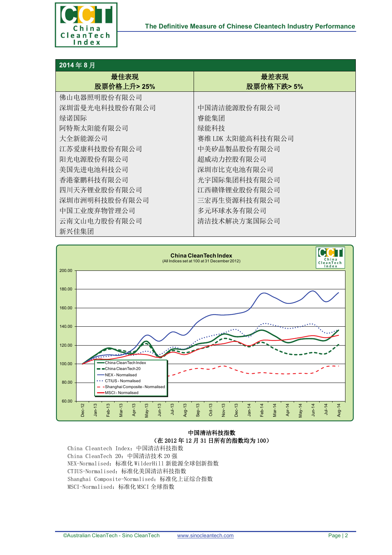

## **2014** 年 **8** 月

| L V T T V J    |                   |  |  |  |  |
|----------------|-------------------|--|--|--|--|
| 最佳表现           | 最差表现              |  |  |  |  |
| 股票价格上升>25%     | 股票价格下跌>5%         |  |  |  |  |
| 佛山电器照明股份有限公司   |                   |  |  |  |  |
| 深圳雷曼光电科技股份有限公司 | 中国清洁能源股份有限公司      |  |  |  |  |
| 绿诺国际           | 睿能集团              |  |  |  |  |
| 阿特斯太阳能有限公司     | 绿能科技              |  |  |  |  |
| 大全新能源公司        | 赛维 LDK 太阳能高科技有限公司 |  |  |  |  |
| 江苏爱康科技股份有限公司   | 中美矽晶製品股份有限公司      |  |  |  |  |
| 阳光电源股份有限公司     | 超威动力控股有限公司        |  |  |  |  |
| 美国先进电池科技公司     | 深圳市比克电池有限公司       |  |  |  |  |
| 香港豪鹏科技有限公司     | 光宇国际集团科技有限公司      |  |  |  |  |
| 四川天齐锂业股份有限公司   | 江西赣锋锂业股份有限公司      |  |  |  |  |
| 深圳市洲明科技股份有限公司  | 三宏再生资源科技有限公司      |  |  |  |  |
| 中国工业废弃物管理公司    | 多元环球水务有限公司        |  |  |  |  |
| 云南文山电力股份有限公司   | 清洁技术解决方案国际公司      |  |  |  |  |
| 新兴佳集团          |                   |  |  |  |  |



## 中国清洁科技指数 (在 2012 年 12 月 31 日所有的指数均为 100)

China Cleantech Index:中国清洁科技指数 China CleanTech 20:中国清洁技术 20 强 NEX-Normalised:标准化 WilderHill 新能源全球创新指数 CTIUS-Normalised:标准化美国清洁科技指数 Shanghai Composite-Normalised:标准化上证综合指数 MSCI-Normalised:标准化 MSCI 全球指数